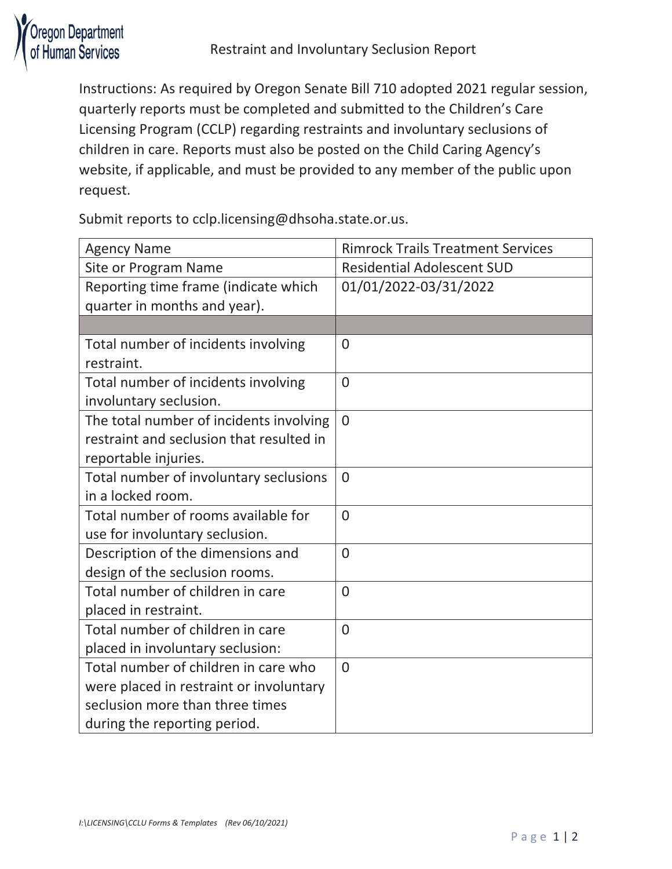

Instructions: As required by Oregon Senate Bill 710 adopted 2021 regular session, quarterly reports must be completed and submitted to the Children's Care Licensing Program (CCLP) regarding restraints and involuntary seclusions of children in care. Reports must also be posted on the Child Caring Agency's website, if applicable, and must be provided to any member of the public upon request.

Submit reports to cclp.licensing@dhsoha.state.or.us.

| <b>Agency Name</b>                       | <b>Rimrock Trails Treatment Services</b> |
|------------------------------------------|------------------------------------------|
| Site or Program Name                     | <b>Residential Adolescent SUD</b>        |
| Reporting time frame (indicate which     | 01/01/2022-03/31/2022                    |
| quarter in months and year).             |                                          |
|                                          |                                          |
| Total number of incidents involving      | $\overline{0}$                           |
| restraint.                               |                                          |
| Total number of incidents involving      | $\overline{0}$                           |
| involuntary seclusion.                   |                                          |
| The total number of incidents involving  | $\overline{0}$                           |
| restraint and seclusion that resulted in |                                          |
| reportable injuries.                     |                                          |
| Total number of involuntary seclusions   | $\overline{0}$                           |
| in a locked room.                        |                                          |
| Total number of rooms available for      | $\overline{0}$                           |
| use for involuntary seclusion.           |                                          |
| Description of the dimensions and        | $\overline{0}$                           |
| design of the seclusion rooms.           |                                          |
| Total number of children in care         | $\overline{0}$                           |
| placed in restraint.                     |                                          |
| Total number of children in care         | $\overline{0}$                           |
| placed in involuntary seclusion:         |                                          |
| Total number of children in care who     | $\overline{0}$                           |
| were placed in restraint or involuntary  |                                          |
| seclusion more than three times          |                                          |
| during the reporting period.             |                                          |